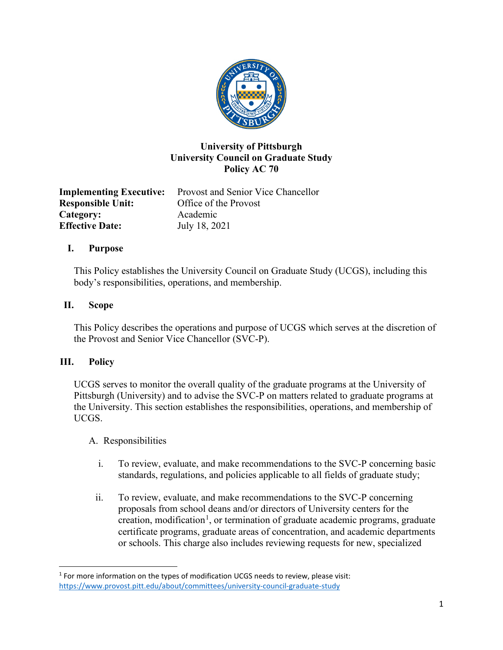

# **University of Pittsburgh University Council on Graduate Study Policy AC 70**

**Implementing Executive:** Provost and Senior Vice Chancellor **Responsible Unit:** Office of the Provost Category: Academic **Effective Date:** July 18, 2021

### **I. Purpose**

This Policy establishes the University Council on Graduate Study (UCGS), including this body's responsibilities, operations, and membership.

### **II. Scope**

This Policy describes the operations and purpose of UCGS which serves at the discretion of the Provost and Senior Vice Chancellor (SVC-P).

# **III. Policy**

UCGS serves to monitor the overall quality of the graduate programs at the University of Pittsburgh (University) and to advise the SVC-P on matters related to graduate programs at the University. This section establishes the responsibilities, operations, and membership of UCGS.

#### A. Responsibilities

- i. To review, evaluate, and make recommendations to the SVC-P concerning basic standards, regulations, and policies applicable to all fields of graduate study;
- ii. To review, evaluate, and make recommendations to the SVC-P concerning proposals from school deans and/or directors of University centers for the creation, modification<sup>[1](#page-0-0)</sup>, or termination of graduate academic programs, graduate certificate programs, graduate areas of concentration, and academic departments or schools. This charge also includes reviewing requests for new, specialized

<span id="page-0-0"></span> $1$  For more information on the types of modification UCGS needs to review, please visit: <https://www.provost.pitt.edu/about/committees/university-council-graduate-study>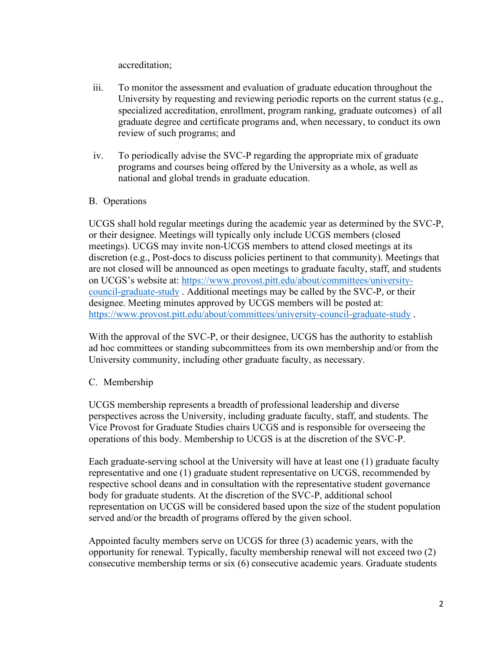accreditation;

- iii. To monitor the assessment and evaluation of graduate education throughout the University by requesting and reviewing periodic reports on the current status (e.g., specialized accreditation, enrollment, program ranking, graduate outcomes) of all graduate degree and certificate programs and, when necessary, to conduct its own review of such programs; and
- iv. To periodically advise the SVC-P regarding the appropriate mix of graduate programs and courses being offered by the University as a whole, as well as national and global trends in graduate education.

# B. Operations

UCGS shall hold regular meetings during the academic year as determined by the SVC-P, or their designee. Meetings will typically only include UCGS members (closed meetings). UCGS may invite non-UCGS members to attend closed meetings at its discretion (e.g., Post-docs to discuss policies pertinent to that community). Meetings that are not closed will be announced as open meetings to graduate faculty, staff, and students on UCGS's website at: [https://www.provost.pitt.edu/about/committees/university](https://www.provost.pitt.edu/about/committees/university-council-graduate-study)[council-graduate-study](https://www.provost.pitt.edu/about/committees/university-council-graduate-study) . Additional meetings may be called by the SVC-P, or their designee. Meeting minutes approved by UCGS members will be posted at: <https://www.provost.pitt.edu/about/committees/university-council-graduate-study> .

With the approval of the SVC-P, or their designee, UCGS has the authority to establish ad hoc committees or standing subcommittees from its own membership and/or from the University community, including other graduate faculty, as necessary.

# C. Membership

UCGS membership represents a breadth of professional leadership and diverse perspectives across the University, including graduate faculty, staff, and students. The Vice Provost for Graduate Studies chairs UCGS and is responsible for overseeing the operations of this body. Membership to UCGS is at the discretion of the SVC-P.

Each graduate-serving school at the University will have at least one (1) graduate faculty representative and one (1) graduate student representative on UCGS, recommended by respective school deans and in consultation with the representative student governance body for graduate students. At the discretion of the SVC-P, additional school representation on UCGS will be considered based upon the size of the student population served and/or the breadth of programs offered by the given school.

Appointed faculty members serve on UCGS for three (3) academic years, with the opportunity for renewal. Typically, faculty membership renewal will not exceed two (2) consecutive membership terms or six (6) consecutive academic years. Graduate students